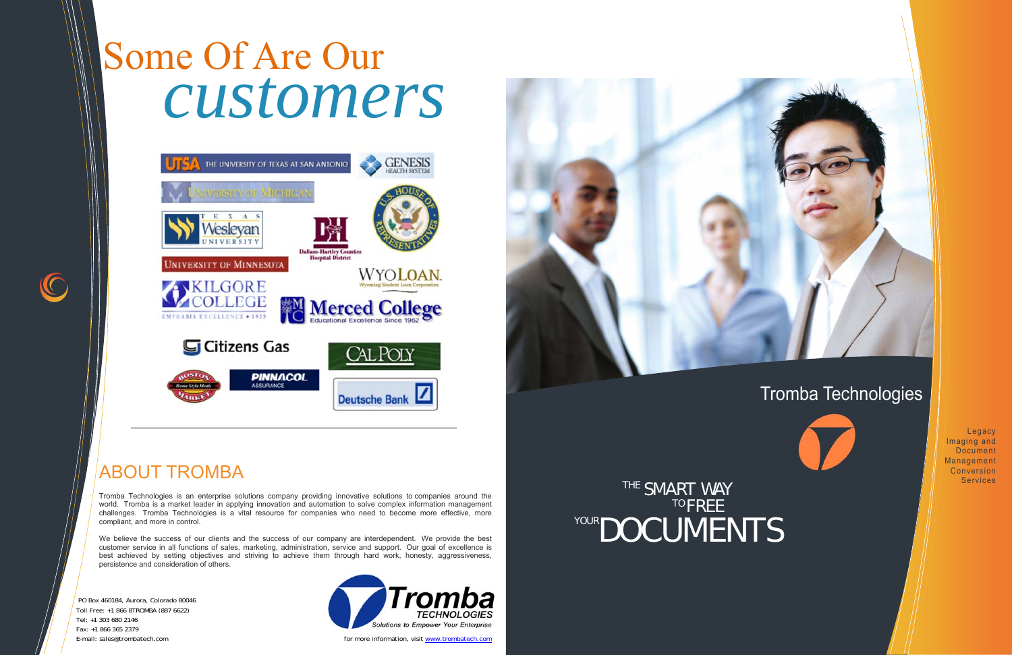## Tromba Technologies

Legacy Imaging and Document Management Conversion **Services** 



*SMART WAY*<br> *<sup>TO</sup>FREE DOCUMENTS THE TO YOUR*

## ABOUT TROMBA

Tromba Technologies is an enterprise solutions company providing innovative solutions to companies around the world. Tromba is a market leader in applying innovation and automation to solve complex information management challenges. Tromba Technologies is a vital resource for companies who need to become more effective, more compliant, and more in control.

We believe the success of our clients and the success of our company are interdependent. We provide the best customer service in all functions of sales, marketing, administration, service and support. Our goal of excellence is best achieved by setting objectives and striving to achieve them through hard work, honesty, aggressiveness, persistence and consideration of others.

 PO Box 460184, Aurora, Colorado 80046 Toll Free: +1 866 8TROMBA (887 6622) Tel: +1 303 680 2146 Fax: +1 866 365 2379

 $\bigcap$ 



E-mail: sales@trombatech.com **for more information**, visit www.trombatech.com

## Some Of Are Our *customers*